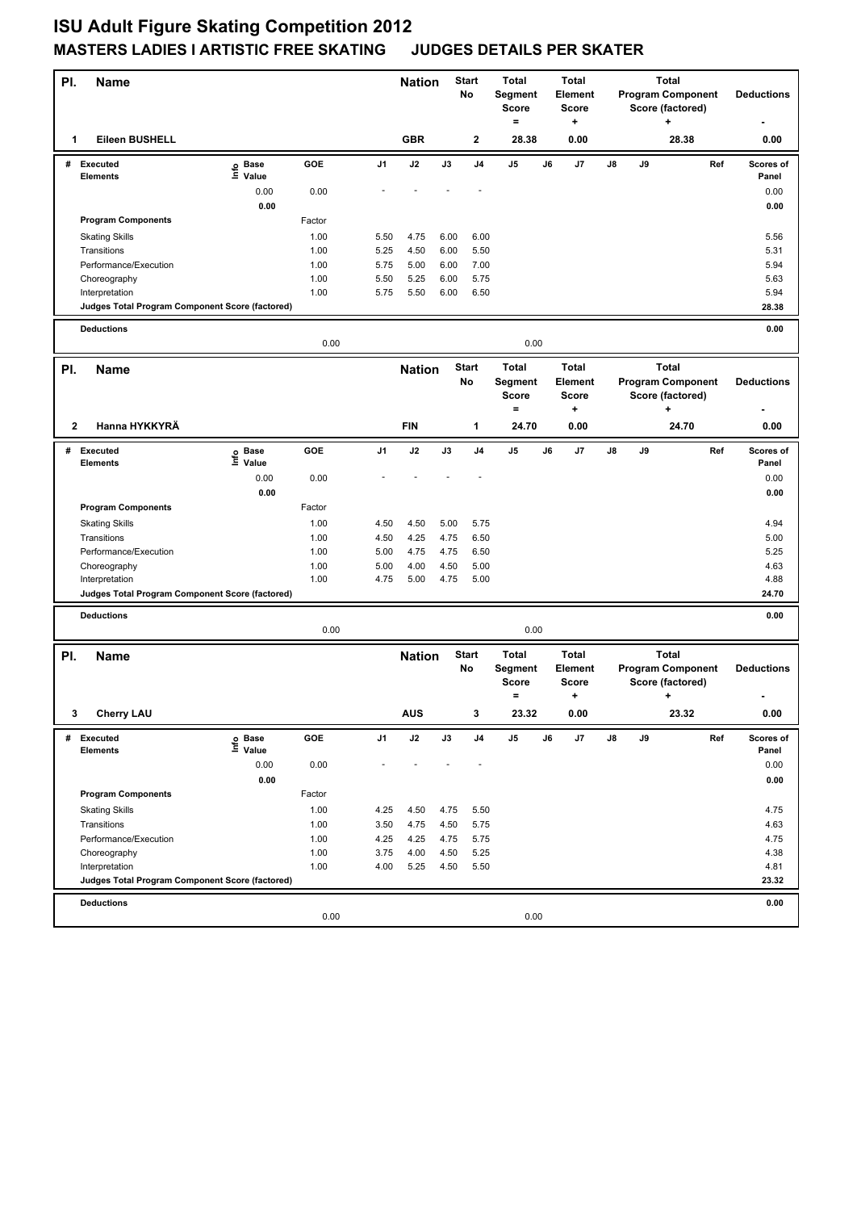## **ISU Adult Figure Skating Competition 2012 MASTERS LADIES I ARTISTIC FREE SKATING JUDGES DETAILS PER SKATER**

| PI.          | <b>Name</b>                                     |                   |              |              | <b>Nation</b>                 |                                     | <b>Start</b><br>No | <b>Total</b><br><b>Total</b><br>Segment<br><b>Score</b><br>Score |    | Element                                 | <b>Total</b><br><b>Program Component</b><br>Score (factored) |      |       | <b>Deductions</b> |                    |
|--------------|-------------------------------------------------|-------------------|--------------|--------------|-------------------------------|-------------------------------------|--------------------|------------------------------------------------------------------|----|-----------------------------------------|--------------------------------------------------------------|------|-------|-------------------|--------------------|
| 1            | Eileen BUSHELL                                  |                   |              |              | <b>GBR</b>                    |                                     | $\mathbf{2}$       | $=$<br>28.38                                                     |    | +<br>0.00                               | ÷<br>28.38                                                   |      |       | 0.00              |                    |
|              | # Executed<br><b>Elements</b>                   | e Base<br>⊆ Value | GOE          | J1           | J2                            | J3                                  | J4                 | J5                                                               | J6 | J7                                      | J8                                                           | J9   |       | Ref               | Scores of<br>Panel |
|              |                                                 | 0.00              | 0.00         |              |                               |                                     |                    |                                                                  |    |                                         |                                                              |      |       |                   | 0.00               |
|              |                                                 | 0.00              |              |              |                               |                                     |                    |                                                                  |    |                                         |                                                              |      |       |                   | 0.00               |
|              | <b>Program Components</b>                       |                   | Factor       |              |                               |                                     |                    |                                                                  |    |                                         |                                                              |      |       |                   |                    |
|              | <b>Skating Skills</b>                           |                   | 1.00         | 5.50         | 4.75                          | 6.00                                | 6.00               |                                                                  |    |                                         |                                                              |      |       |                   | 5.56               |
|              | Transitions                                     |                   | 1.00         | 5.25         | 4.50                          | 6.00                                | 5.50               |                                                                  |    |                                         |                                                              |      |       |                   | 5.31               |
|              | Performance/Execution                           |                   | 1.00         | 5.75         | 5.00                          | 6.00                                | 7.00               |                                                                  |    |                                         |                                                              |      |       |                   | 5.94               |
|              | Choreography                                    |                   | 1.00         | 5.50         | 5.25                          | 6.00                                | 5.75               |                                                                  |    |                                         |                                                              |      |       |                   | 5.63               |
|              | Interpretation                                  |                   | 1.00         | 5.75         | 5.50                          | 6.00                                | 6.50               |                                                                  |    |                                         |                                                              |      |       |                   | 5.94               |
|              | Judges Total Program Component Score (factored) |                   |              |              |                               |                                     |                    |                                                                  |    |                                         |                                                              |      |       |                   | 28.38              |
|              | <b>Deductions</b><br>0.00<br>0.00               |                   |              |              |                               |                                     |                    |                                                                  |    |                                         | 0.00                                                         |      |       |                   |                    |
| PI.          | <b>Name</b>                                     |                   |              |              | <b>Start</b><br><b>Nation</b> |                                     |                    | <b>Total</b><br><b>Total</b>                                     |    |                                         | <b>Total</b>                                                 |      |       |                   |                    |
|              |                                                 |                   |              |              |                               |                                     | No                 | <b>Segment</b><br><b>Score</b><br>$=$                            |    | Element<br><b>Score</b><br>+            | <b>Program Component</b><br>Score (factored)<br>٠            |      |       | <b>Deductions</b> |                    |
| 2            | Hanna HYKKYRÄ                                   |                   |              |              | <b>FIN</b>                    |                                     | 1                  | 24.70                                                            |    | 0.00                                    | 24.70                                                        |      |       | 0.00              |                    |
| #            | <b>Executed</b>                                 | e Base<br>E Value | GOE          | J1           | J2                            | J3                                  | J <sub>4</sub>     | J5                                                               | J6 | J7                                      | J8                                                           | J9   |       | Ref               | Scores of          |
|              | <b>Elements</b>                                 | Value             |              |              |                               |                                     |                    |                                                                  |    |                                         |                                                              |      |       |                   | Panel              |
|              |                                                 | 0.00              | 0.00         |              |                               |                                     |                    |                                                                  |    |                                         |                                                              |      |       |                   | 0.00               |
|              |                                                 | 0.00              |              |              |                               |                                     |                    |                                                                  |    |                                         |                                                              |      |       |                   | 0.00               |
|              | <b>Program Components</b>                       |                   | Factor       |              |                               |                                     |                    |                                                                  |    |                                         |                                                              |      |       |                   |                    |
|              | <b>Skating Skills</b>                           |                   | 1.00         | 4.50         | 4.50                          | 5.00                                | 5.75               |                                                                  |    |                                         |                                                              |      |       |                   | 4.94               |
|              | Transitions                                     |                   | 1.00         | 4.50         | 4.25                          | 4.75                                | 6.50               |                                                                  |    |                                         |                                                              |      |       |                   | 5.00               |
|              | Performance/Execution                           |                   | 1.00<br>1.00 | 5.00<br>5.00 | 4.75<br>4.00                  | 4.75<br>4.50                        | 6.50<br>5.00       |                                                                  |    |                                         |                                                              |      |       |                   | 5.25<br>4.63       |
|              | Choreography<br>Interpretation                  |                   | 1.00         | 4.75         | 5.00                          | 4.75                                | 5.00               |                                                                  |    |                                         |                                                              |      |       |                   | 4.88               |
|              | Judges Total Program Component Score (factored) |                   |              |              |                               |                                     |                    |                                                                  |    |                                         |                                                              |      |       |                   | 24.70              |
|              |                                                 |                   |              |              |                               |                                     |                    |                                                                  |    |                                         |                                                              |      |       |                   |                    |
|              | <b>Deductions</b>                               |                   | 0.00         | 0.00         |                               |                                     |                    |                                                                  |    |                                         |                                                              | 0.00 |       |                   |                    |
| PI.          | <b>Name</b>                                     |                   |              |              |                               | <b>Start</b><br><b>Nation</b><br>No |                    | <b>Total</b><br>Segment<br><b>Score</b><br>$=$<br>٠              |    | <b>Total</b><br>Element<br><b>Score</b> | <b>Total</b><br><b>Program Component</b><br>Score (factored) |      | ٠     |                   | <b>Deductions</b>  |
| $\mathbf{3}$ | <b>Cherry LAU</b>                               |                   |              |              | <b>AUS</b>                    |                                     |                    | 23.32                                                            |    | 0.00                                    |                                                              |      | 23.32 |                   | $0.00\,$           |
| #            | Executed                                        | e Base<br>⊑ Value | GOE          | J1           | J2                            | J3                                  | J4                 | J5                                                               | J6 | J7                                      | J8                                                           | J9   |       | Ref               | Scores of          |
|              | <b>Elements</b>                                 |                   |              |              |                               |                                     |                    |                                                                  |    |                                         |                                                              |      |       |                   | Panel              |
|              |                                                 | 0.00              | 0.00         |              |                               |                                     |                    |                                                                  |    |                                         |                                                              |      |       |                   | 0.00               |
|              |                                                 | 0.00              |              |              |                               |                                     |                    |                                                                  |    |                                         |                                                              |      |       |                   | 0.00               |
|              | <b>Program Components</b>                       |                   | Factor       |              |                               |                                     |                    |                                                                  |    |                                         |                                                              |      |       |                   |                    |
|              | <b>Skating Skills</b>                           |                   | 1.00         | 4.25         | 4.50                          | 4.75                                | 5.50               |                                                                  |    |                                         |                                                              |      |       |                   | 4.75               |
|              | Transitions                                     |                   | 1.00         | 3.50         | 4.75                          | 4.50                                | 5.75               |                                                                  |    |                                         |                                                              |      |       |                   | 4.63               |
|              | Performance/Execution                           |                   | 1.00<br>1.00 | 4.25<br>3.75 | 4.25<br>4.00                  | 4.75<br>4.50                        | 5.75<br>5.25       |                                                                  |    |                                         |                                                              |      |       |                   | 4.75<br>4.38       |
|              | Choreography<br>Interpretation                  |                   | 1.00         | 4.00         | 5.25                          | 4.50                                | 5.50               |                                                                  |    |                                         |                                                              |      |       |                   | 4.81               |
|              | Judges Total Program Component Score (factored) |                   |              |              |                               |                                     |                    |                                                                  |    |                                         |                                                              |      |       |                   | 23.32              |
|              | <b>Deductions</b>                               |                   |              |              |                               |                                     |                    |                                                                  |    |                                         |                                                              |      |       |                   | 0.00               |
|              |                                                 |                   | 0.00         |              |                               |                                     |                    | 0.00                                                             |    |                                         |                                                              |      |       |                   |                    |